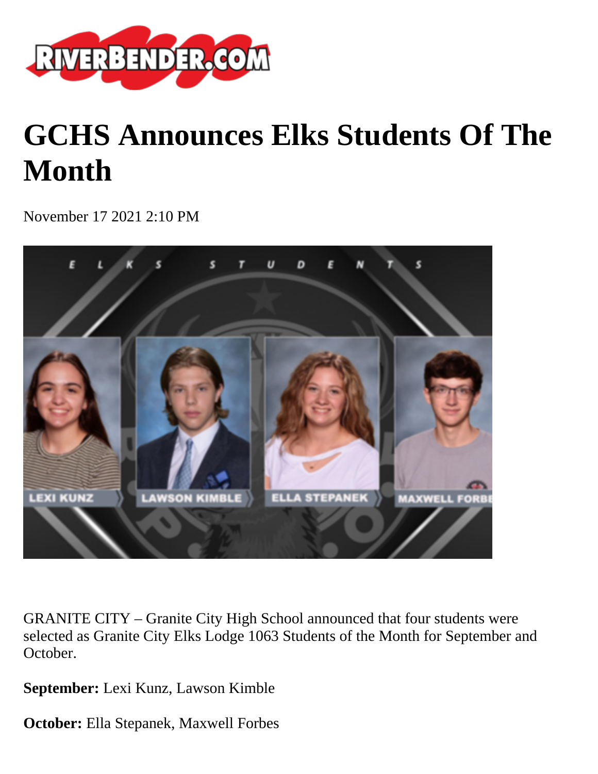

# **GCHS Announces Elks Students Of The Month**

November 17 2021 2:10 PM



GRANITE CITY – Granite City High School announced that four students were selected as Granite City Elks Lodge 1063 Students of the Month for September and October.

**September:** Lexi Kunz, Lawson Kimble

**October:** Ella Stepanek, Maxwell Forbes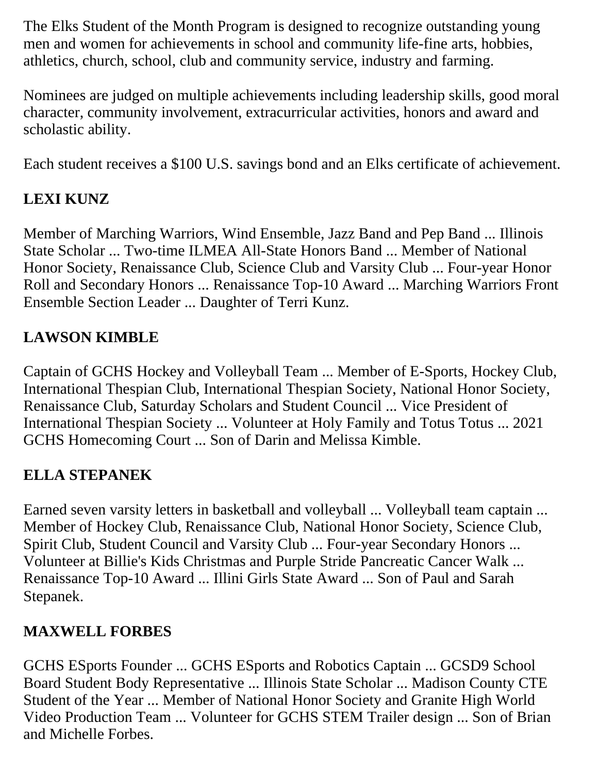The Elks Student of the Month Program is designed to recognize outstanding young men and women for achievements in school and community life-fine arts, hobbies, athletics, church, school, club and community service, industry and farming.

Nominees are judged on multiple achievements including leadership skills, good moral character, community involvement, extracurricular activities, honors and award and scholastic ability.

Each student receives a \$100 U.S. savings bond and an Elks certificate of achievement.

## **LEXI KUNZ**

Member of Marching Warriors, Wind Ensemble, Jazz Band and Pep Band ... Illinois State Scholar ... Two-time ILMEA All-State Honors Band ... Member of National Honor Society, Renaissance Club, Science Club and Varsity Club ... Four-year Honor Roll and Secondary Honors ... Renaissance Top-10 Award ... Marching Warriors Front Ensemble Section Leader ... Daughter of Terri Kunz.

## **LAWSON KIMBLE**

Captain of GCHS Hockey and Volleyball Team ... Member of E-Sports, Hockey Club, International Thespian Club, International Thespian Society, National Honor Society, Renaissance Club, Saturday Scholars and Student Council ... Vice President of International Thespian Society ... Volunteer at Holy Family and Totus Totus ... 2021 GCHS Homecoming Court ... Son of Darin and Melissa Kimble.

### **ELLA STEPANEK**

Earned seven varsity letters in basketball and volleyball ... Volleyball team captain ... Member of Hockey Club, Renaissance Club, National Honor Society, Science Club, Spirit Club, Student Council and Varsity Club ... Four-year Secondary Honors ... Volunteer at Billie's Kids Christmas and Purple Stride Pancreatic Cancer Walk ... Renaissance Top-10 Award ... Illini Girls State Award ... Son of Paul and Sarah Stepanek.

### **MAXWELL FORBES**

GCHS ESports Founder ... GCHS ESports and Robotics Captain ... GCSD9 School Board Student Body Representative ... Illinois State Scholar ... Madison County CTE Student of the Year ... Member of National Honor Society and Granite High World Video Production Team ... Volunteer for GCHS STEM Trailer design ... Son of Brian and Michelle Forbes.